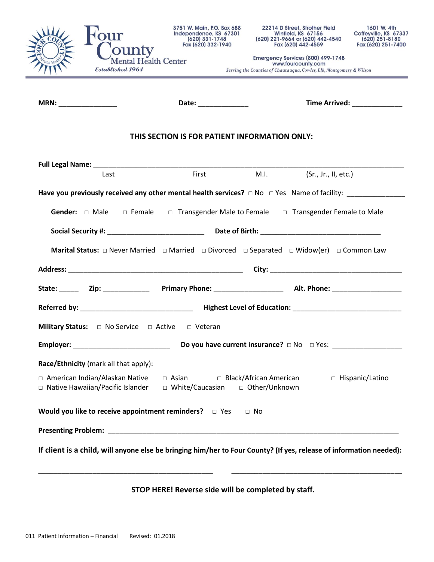

**MRN:** \_\_\_\_\_\_\_\_\_\_\_\_\_\_\_ **Date:** \_\_\_\_\_\_\_\_\_\_\_\_\_ **Time Arrived:** \_\_\_\_\_\_\_\_\_\_\_\_\_

## **THIS SECTION IS FOR PATIENT INFORMATION ONLY:**

| Last                                                                                                                                                           |  |  | First M.I. (Sr., Jr., II, etc.) |  |
|----------------------------------------------------------------------------------------------------------------------------------------------------------------|--|--|---------------------------------|--|
|                                                                                                                                                                |  |  |                                 |  |
| <b>Gender:</b> $\Box$ Male $\Box$ Female $\Box$ Transgender Male to Female $\Box$ Transgender Female to Male                                                   |  |  |                                 |  |
|                                                                                                                                                                |  |  |                                 |  |
|                                                                                                                                                                |  |  |                                 |  |
|                                                                                                                                                                |  |  |                                 |  |
|                                                                                                                                                                |  |  |                                 |  |
|                                                                                                                                                                |  |  |                                 |  |
| <b>Military Status:</b> $\Box$ No Service $\Box$ Active $\Box$ Veteran                                                                                         |  |  |                                 |  |
|                                                                                                                                                                |  |  |                                 |  |
| Race/Ethnicity (mark all that apply):                                                                                                                          |  |  |                                 |  |
| □ American Indian/Alaskan Native □ Asian □ Black/African American<br>□ Hispanic/Latino<br>□ Native Hawaiian/Pacific Islander □ White/Caucasian □ Other/Unknown |  |  |                                 |  |
| Would you like to receive appointment reminders? $\Box$ Yes $\Box$ No                                                                                          |  |  |                                 |  |
|                                                                                                                                                                |  |  |                                 |  |
| If client is a child, will anyone else be bringing him/her to Four County? (If yes, release of information needed):                                            |  |  |                                 |  |

## **STOP HERE! Reverse side will be completed by staff.**